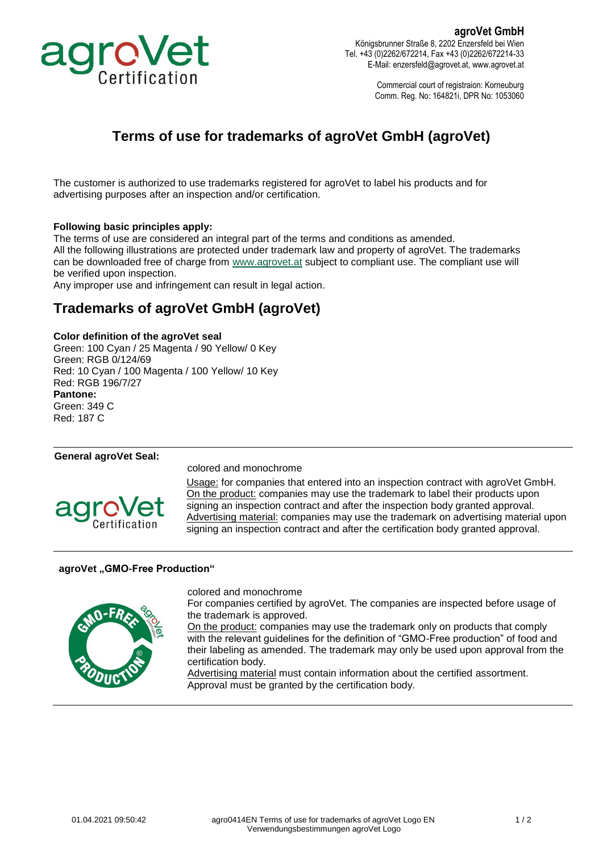

**agroVet GmbH** Königsbrunner Straße 8, 2202 Enzersfeld bei Wien Tel. +43 (0)2262/672214, Fax +43 (0)2262/672214-33 E-Mail: enzersfeld@agrovet.at, www.agrovet.at

> Commercial court of registraion: Korneuburg Comm. Reg. No: 164821i, DPR No: 1053060

## **Terms of use for trademarks of agroVet GmbH (agroVet)**

The customer is authorized to use trademarks registered for agroVet to label his products and for advertising purposes after an inspection and/or certification.

#### **Following basic principles apply:**

The terms of use are considered an integral part of the terms and conditions as amended. All the following illustrations are protected under trademark law and property of agroVet. The trademarks can be downloaded free of charge from [www.agrovet.at](http://www.agrovet.at/) subject to compliant use. The compliant use will

be verified upon inspection.

Any improper use and infringement can result in legal action.

## **Trademarks of agroVet GmbH (agroVet)**

#### **Color definition of the agroVet seal**

Green: 100 Cyan / 25 Magenta / 90 Yellow/ 0 Key Green: RGB 0/124/69 Red: 10 Cyan / 100 Magenta / 100 Yellow/ 10 Key Red: RGB 196/7/27 **Pantone:** Green: 349 C Red: 187 C

#### **General agroVet Seal:**



colored and monochrome

Usage: for companies that entered into an inspection contract with agroVet GmbH. On the product: companies may use the trademark to label their products upon signing an inspection contract and after the inspection body granted approval. Advertising material: companies may use the trademark on advertising material upon signing an inspection contract and after the certification body granted approval.

#### **agroVet "GMO-Free Production"**



colored and monochrome

For companies certified by agroVet. The companies are inspected before usage of the trademark is approved.

On the product: companies may use the trademark only on products that comply with the relevant guidelines for the definition of "GMO-Free production" of food and their labeling as amended. The trademark may only be used upon approval from the certification body.

Advertising material must contain information about the certified assortment. Approval must be granted by the certification body.